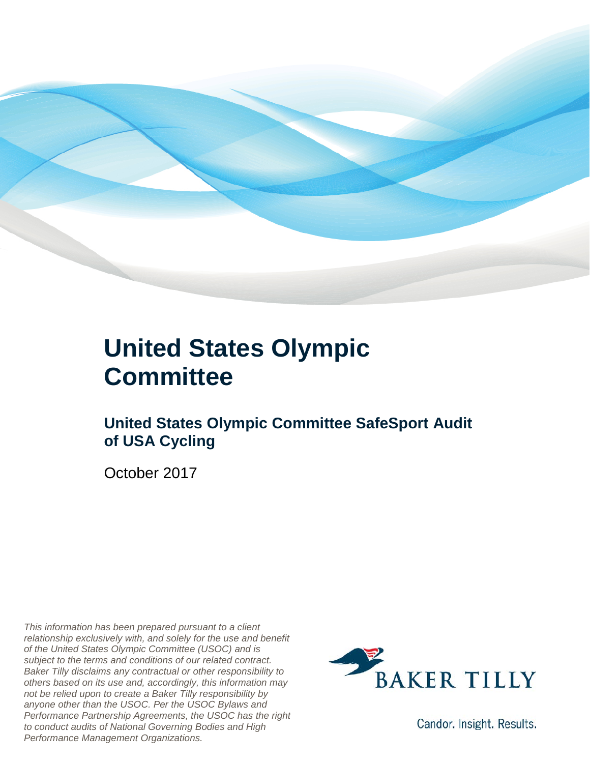

### **United States Olympic Committee**

### **United States Olympic Committee SafeSport Audit of USA Cycling**

October 2017

*This information has been prepared pursuant to a client relationship exclusively with, and solely for the use and benefit of the United States Olympic Committee (USOC) and is subject to the terms and conditions of our related contract. Baker Tilly disclaims any contractual or other responsibility to others based on its use and, accordingly, this information may not be relied upon to create a Baker Tilly responsibility by anyone other than the USOC. Per the USOC Bylaws and Performance Partnership Agreements, the USOC has the right to conduct audits of National Governing Bodies and High Performance Management Organizations.*



Candor. Insight. Results.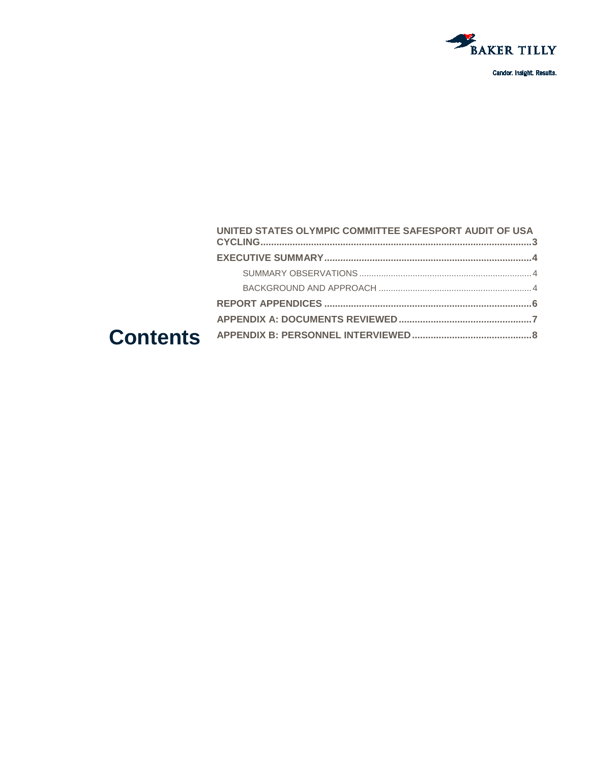

#### UNITED STATES OLYMPIC COMMITTEE SAFESPORT AUDIT OF USA **Contents**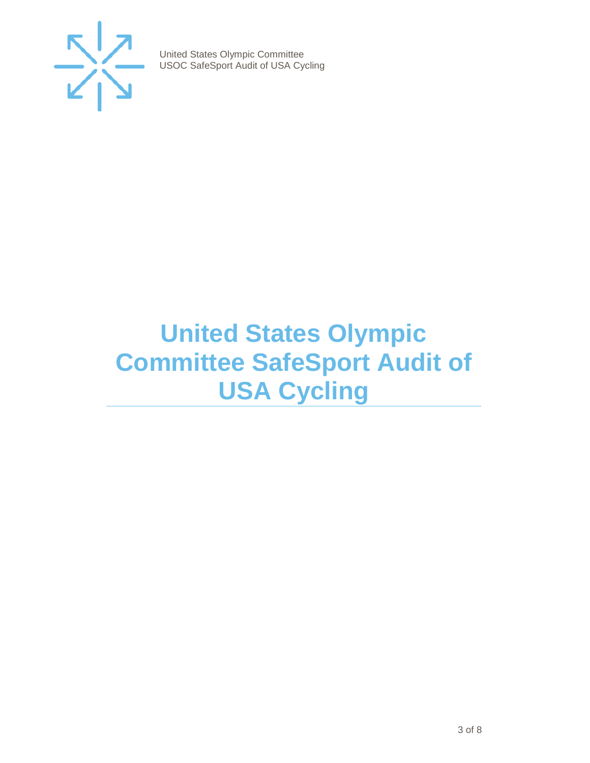

## <span id="page-2-0"></span>**United States Olympic Committee SafeSport Audit of USA Cycling**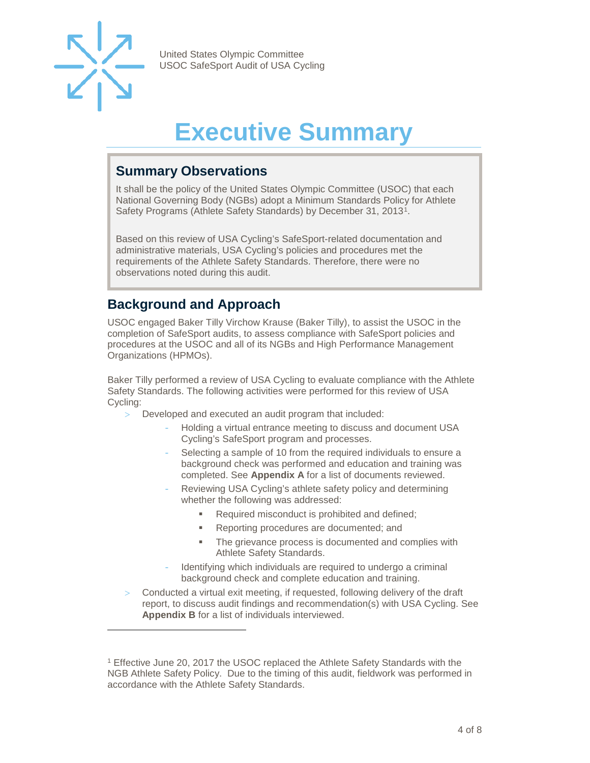

-

United States Olympic Committee USOC SafeSport Audit of USA Cycling

## **Executive Summary**

#### <span id="page-3-1"></span><span id="page-3-0"></span>**Summary Observations**

It shall be the policy of the United States Olympic Committee (USOC) that each National Governing Body (NGBs) adopt a Minimum Standards Policy for Athlete Safety Programs (Athlete Safety Standards) by December 31, 2013[1](#page-3-3).

Based on this review of USA Cycling's SafeSport-related documentation and administrative materials, USA Cycling's policies and procedures met the requirements of the Athlete Safety Standards. Therefore, there were no observations noted during this audit.

#### <span id="page-3-2"></span>**Background and Approach**

USOC engaged Baker Tilly Virchow Krause (Baker Tilly), to assist the USOC in the completion of SafeSport audits, to assess compliance with SafeSport policies and procedures at the USOC and all of its NGBs and High Performance Management Organizations (HPMOs).

Baker Tilly performed a review of USA Cycling to evaluate compliance with the Athlete Safety Standards. The following activities were performed for this review of USA Cycling:

- > Developed and executed an audit program that included:
	- Holding a virtual entrance meeting to discuss and document USA Cycling's SafeSport program and processes.
	- Selecting a sample of 10 from the required individuals to ensure a background check was performed and education and training was completed. See **Appendix A** for a list of documents reviewed.
	- Reviewing USA Cycling's athlete safety policy and determining whether the following was addressed:
		- Required misconduct is prohibited and defined;
		- **Reporting procedures are documented; and**
		- The grievance process is documented and complies with Athlete Safety Standards.
	- Identifying which individuals are required to undergo a criminal background check and complete education and training.
- Conducted a virtual exit meeting, if requested, following delivery of the draft report, to discuss audit findings and recommendation(s) with USA Cycling. See **Appendix B** for a list of individuals interviewed.

<span id="page-3-3"></span><sup>&</sup>lt;sup>1</sup> Effective June 20, 2017 the USOC replaced the Athlete Safety Standards with the NGB Athlete Safety Policy. Due to the timing of this audit, fieldwork was performed in accordance with the Athlete Safety Standards.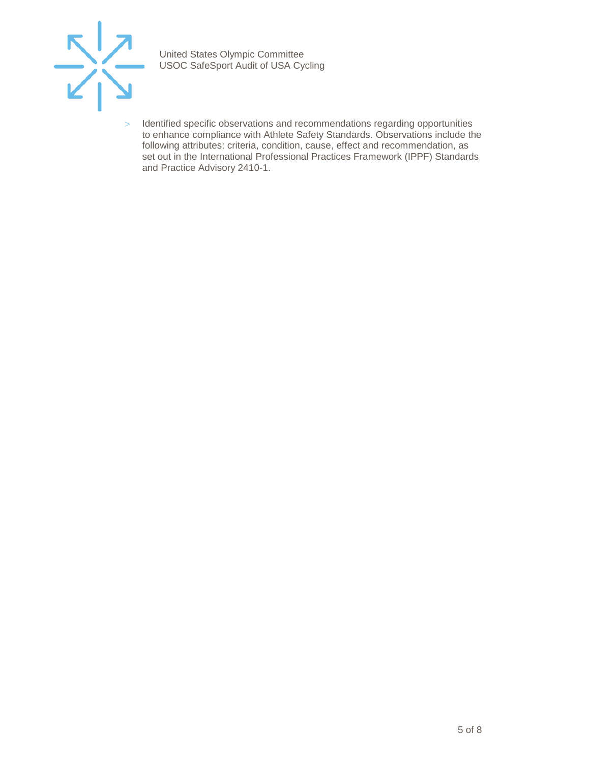

> Identified specific observations and recommendations regarding opportunities to enhance compliance with Athlete Safety Standards. Observations include the following attributes: criteria, condition, cause, effect and recommendation, as set out in the International Professional Practices Framework (IPPF) Standards and Practice Advisory 2410-1.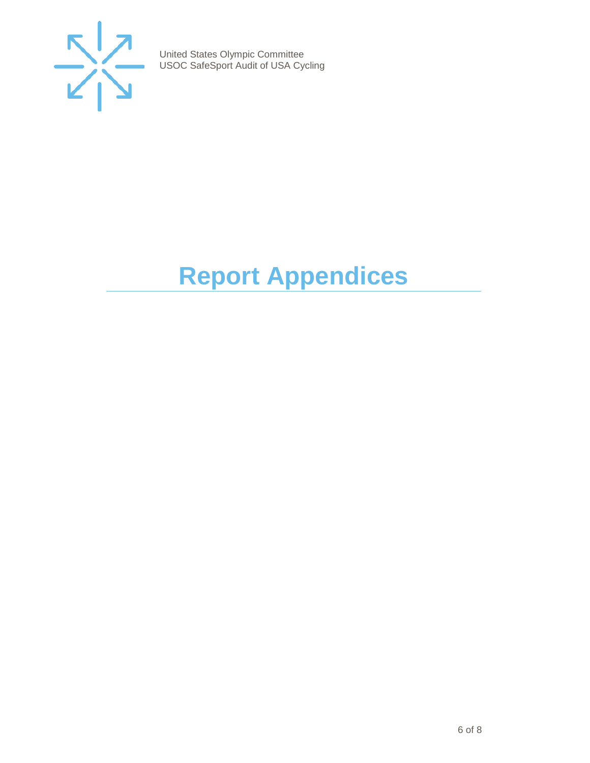

# <span id="page-5-0"></span>**Report Appendices**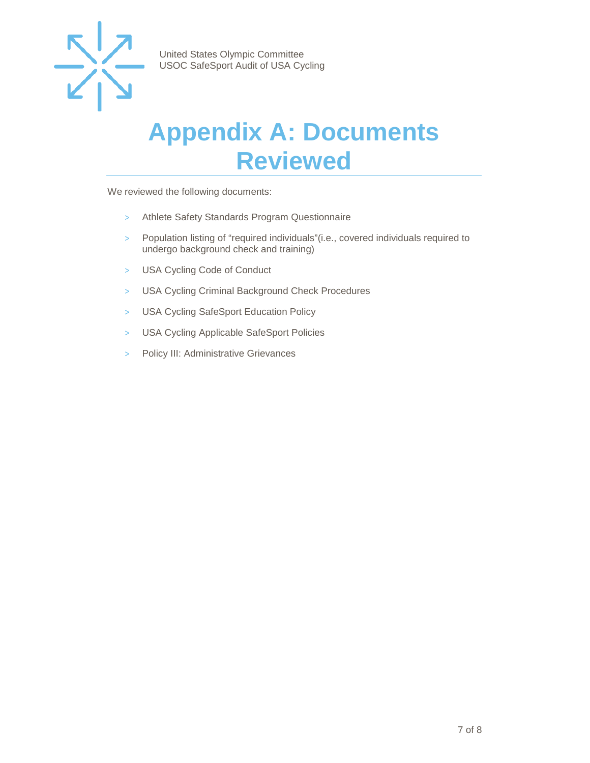

### <span id="page-6-0"></span>**Appendix A: Documents Reviewed**

We reviewed the following documents:

- > Athlete Safety Standards Program Questionnaire
- > Population listing of "required individuals"(i.e., covered individuals required to undergo background check and training)
- > USA Cycling Code of Conduct
- > USA Cycling Criminal Background Check Procedures
- > USA Cycling SafeSport Education Policy
- > USA Cycling Applicable SafeSport Policies
- > Policy III: Administrative Grievances